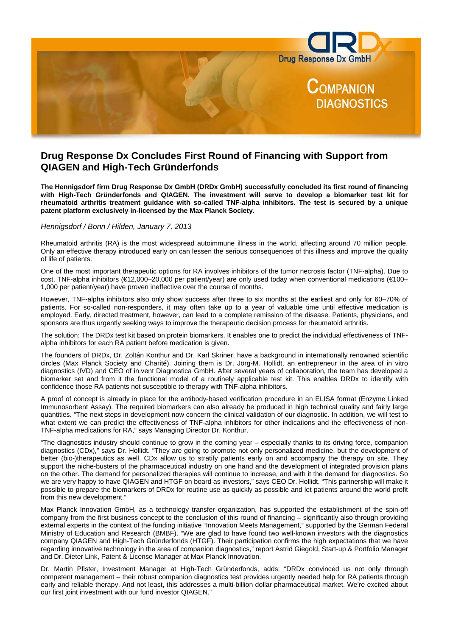

# **Drug Response Dx Concludes First Round of Financing with Support from QIAGEN and High-Tech Gründerfonds**

**The Hennigsdorf firm Drug Response Dx GmbH (DRDx GmbH) successfully concluded its first round of financing with High-Tech Gründerfonds and QIAGEN. The investment will serve to develop a biomarker test kit for rheumatoid arthritis treatment guidance with so-called TNF-alpha inhibitors. The test is secured by a unique patent platform exclusively in-licensed by the Max Planck Society.** 

## *Hennigsdorf / Bonn / Hilden, January 7, 2013*

Rheumatoid arthritis (RA) is the most widespread autoimmune illness in the world, affecting around 70 million people. Only an effective therapy introduced early on can lessen the serious consequences of this illness and improve the quality of life of patients.

One of the most important therapeutic options for RA involves inhibitors of the tumor necrosis factor (TNF-alpha). Due to cost, TNF-alpha inhibitors (€12,000–20,000 per patient/year) are only used today when conventional medications (€100– 1,000 per patient/year) have proven ineffective over the course of months.

However, TNF-alpha inhibitors also only show success after three to six months at the earliest and only for 60–70% of patients. For so-called non-responders, it may often take up to a year of valuable time until effective medication is employed. Early, directed treatment, however, can lead to a complete remission of the disease. Patients, physicians, and sponsors are thus urgently seeking ways to improve the therapeutic decision process for rheumatoid arthritis.

The solution: The DRDx test kit based on protein biomarkers. It enables one to predict the individual effectiveness of TNFalpha inhibitors for each RA patient before medication is given.

The founders of DRDx, Dr. Zoltán Konthur and Dr. Karl Skriner, have a background in internationally renowned scientific circles (Max Planck Society and Charité). Joining them is Dr. Jörg-M. Hollidt, an entrepreneur in the area of in vitro diagnostics (IVD) and CEO of in.vent Diagnostica GmbH. After several years of collaboration, the team has developed a biomarker set and from it the functional model of a routinely applicable test kit. This enables DRDx to identify with confidence those RA patients not susceptible to therapy with TNF-alpha inhibitors.

A proof of concept is already in place for the antibody-based verification procedure in an ELISA format (Enzyme Linked Immunosorbent Assay). The required biomarkers can also already be produced in high technical quality and fairly large quantities. "The next steps in development now concern the clinical validation of our diagnostic. In addition, we will test to what extent we can predict the effectiveness of TNF-alpha inhibitors for other indications and the effectiveness of non-TNF-alpha medications for RA," says Managing Director Dr. Konthur.

"The diagnostics industry should continue to grow in the coming year – especially thanks to its driving force, companion diagnostics (CDx)," says Dr. Hollidt. "They are going to promote not only personalized medicine, but the development of better (bio-)therapeutics as well. CDx allow us to stratify patients early on and accompany the therapy on site. They support the niche-busters of the pharmaceutical industry on one hand and the development of integrated provision plans on the other. The demand for personalized therapies will continue to increase, and with it the demand for diagnostics. So we are very happy to have QIAGEN and HTGF on board as investors," says CEO Dr. Hollidt. "This partnership will make it possible to prepare the biomarkers of DRDx for routine use as quickly as possible and let patients around the world profit from this new development."

Max Planck Innovation GmbH, as a technology transfer organization, has supported the establishment of the spin-off company from the first business concept to the conclusion of this round of financing – significantly also through providing external experts in the context of the funding initiative "Innovation Meets Management," supported by the German Federal Ministry of Education and Research (BMBF). "We are glad to have found two well-known investors with the diagnostics company QIAGEN and High-Tech Gründerfonds (HTGF). Their participation confirms the high expectations that we have regarding innovative technology in the area of companion diagnostics," report Astrid Giegold, Start-up & Portfolio Manager and Dr. Dieter Link, Patent & License Manager at Max Planck Innovation.

Dr. Martin Pfister, Investment Manager at High-Tech Gründerfonds, adds: "DRDx convinced us not only through competent management – their robust companion diagnostics test provides urgently needed help for RA patients through early and reliable therapy. And not least, this addresses a multi-billion dollar pharmaceutical market. We're excited about our first joint investment with our fund investor QIAGEN."